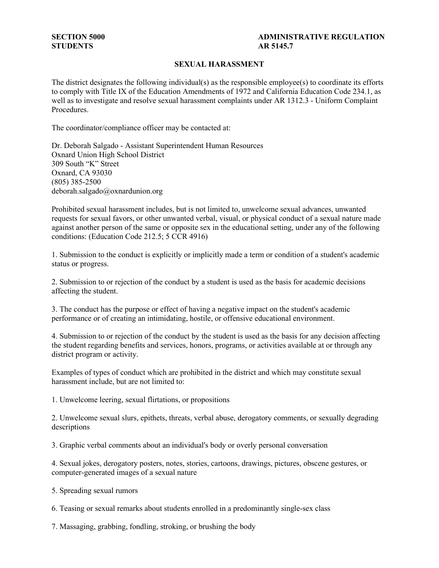# **STUDENTS AR 5145.7**

# **SECTION 5000** ADMINISTRATIVE REGULATION

## **SEXUAL HARASSMENT**

The district designates the following individual(s) as the responsible employee(s) to coordinate its efforts to comply with Title IX of the Education Amendments of 1972 and California Education Code 234.1, as well as to investigate and resolve sexual harassment complaints under AR 1312.3 - Uniform Complaint Procedures.

The coordinator/compliance officer may be contacted at:

Dr. Deborah Salgado - Assistant Superintendent Human Resources Oxnard Union High School District 309 South "K" Street Oxnard, CA 93030 (805) 385-2500 deborah.salgado@oxnardunion.org

Prohibited sexual harassment includes, but is not limited to, unwelcome sexual advances, unwanted requests for sexual favors, or other unwanted verbal, visual, or physical conduct of a sexual nature made against another person of the same or opposite sex in the educational setting, under any of the following conditions: (Education Code 212.5; 5 CCR 4916)

1. Submission to the conduct is explicitly or implicitly made a term or condition of a student's academic status or progress.

2. Submission to or rejection of the conduct by a student is used as the basis for academic decisions affecting the student.

3. The conduct has the purpose or effect of having a negative impact on the student's academic performance or of creating an intimidating, hostile, or offensive educational environment.

4. Submission to or rejection of the conduct by the student is used as the basis for any decision affecting the student regarding benefits and services, honors, programs, or activities available at or through any district program or activity.

Examples of types of conduct which are prohibited in the district and which may constitute sexual harassment include, but are not limited to:

1. Unwelcome leering, sexual flirtations, or propositions

2. Unwelcome sexual slurs, epithets, threats, verbal abuse, derogatory comments, or sexually degrading descriptions

3. Graphic verbal comments about an individual's body or overly personal conversation

4. Sexual jokes, derogatory posters, notes, stories, cartoons, drawings, pictures, obscene gestures, or computer-generated images of a sexual nature

5. Spreading sexual rumors

6. Teasing or sexual remarks about students enrolled in a predominantly single-sex class

7. Massaging, grabbing, fondling, stroking, or brushing the body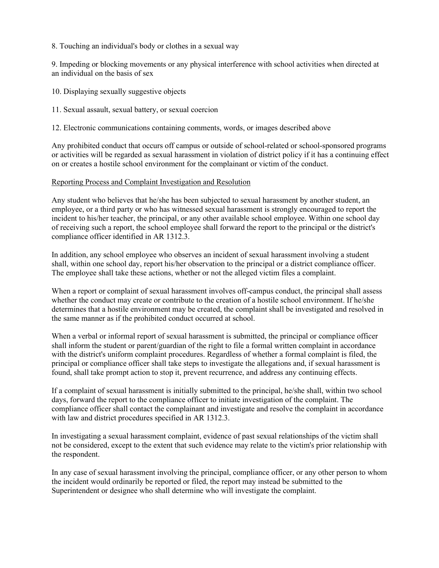8. Touching an individual's body or clothes in a sexual way

9. Impeding or blocking movements or any physical interference with school activities when directed at an individual on the basis of sex

- 10. Displaying sexually suggestive objects
- 11. Sexual assault, sexual battery, or sexual coercion

12. Electronic communications containing comments, words, or images described above

Any prohibited conduct that occurs off campus or outside of school-related or school-sponsored programs or activities will be regarded as sexual harassment in violation of district policy if it has a continuing effect on or creates a hostile school environment for the complainant or victim of the conduct.

#### Reporting Process and Complaint Investigation and Resolution

Any student who believes that he/she has been subjected to sexual harassment by another student, an employee, or a third party or who has witnessed sexual harassment is strongly encouraged to report the incident to his/her teacher, the principal, or any other available school employee. Within one school day of receiving such a report, the school employee shall forward the report to the principal or the district's compliance officer identified in AR 1312.3.

In addition, any school employee who observes an incident of sexual harassment involving a student shall, within one school day, report his/her observation to the principal or a district compliance officer. The employee shall take these actions, whether or not the alleged victim files a complaint.

When a report or complaint of sexual harassment involves off-campus conduct, the principal shall assess whether the conduct may create or contribute to the creation of a hostile school environment. If he/she determines that a hostile environment may be created, the complaint shall be investigated and resolved in the same manner as if the prohibited conduct occurred at school.

When a verbal or informal report of sexual harassment is submitted, the principal or compliance officer shall inform the student or parent/guardian of the right to file a formal written complaint in accordance with the district's uniform complaint procedures. Regardless of whether a formal complaint is filed, the principal or compliance officer shall take steps to investigate the allegations and, if sexual harassment is found, shall take prompt action to stop it, prevent recurrence, and address any continuing effects.

If a complaint of sexual harassment is initially submitted to the principal, he/she shall, within two school days, forward the report to the compliance officer to initiate investigation of the complaint. The compliance officer shall contact the complainant and investigate and resolve the complaint in accordance with law and district procedures specified in AR 1312.3.

In investigating a sexual harassment complaint, evidence of past sexual relationships of the victim shall not be considered, except to the extent that such evidence may relate to the victim's prior relationship with the respondent.

In any case of sexual harassment involving the principal, compliance officer, or any other person to whom the incident would ordinarily be reported or filed, the report may instead be submitted to the Superintendent or designee who shall determine who will investigate the complaint.